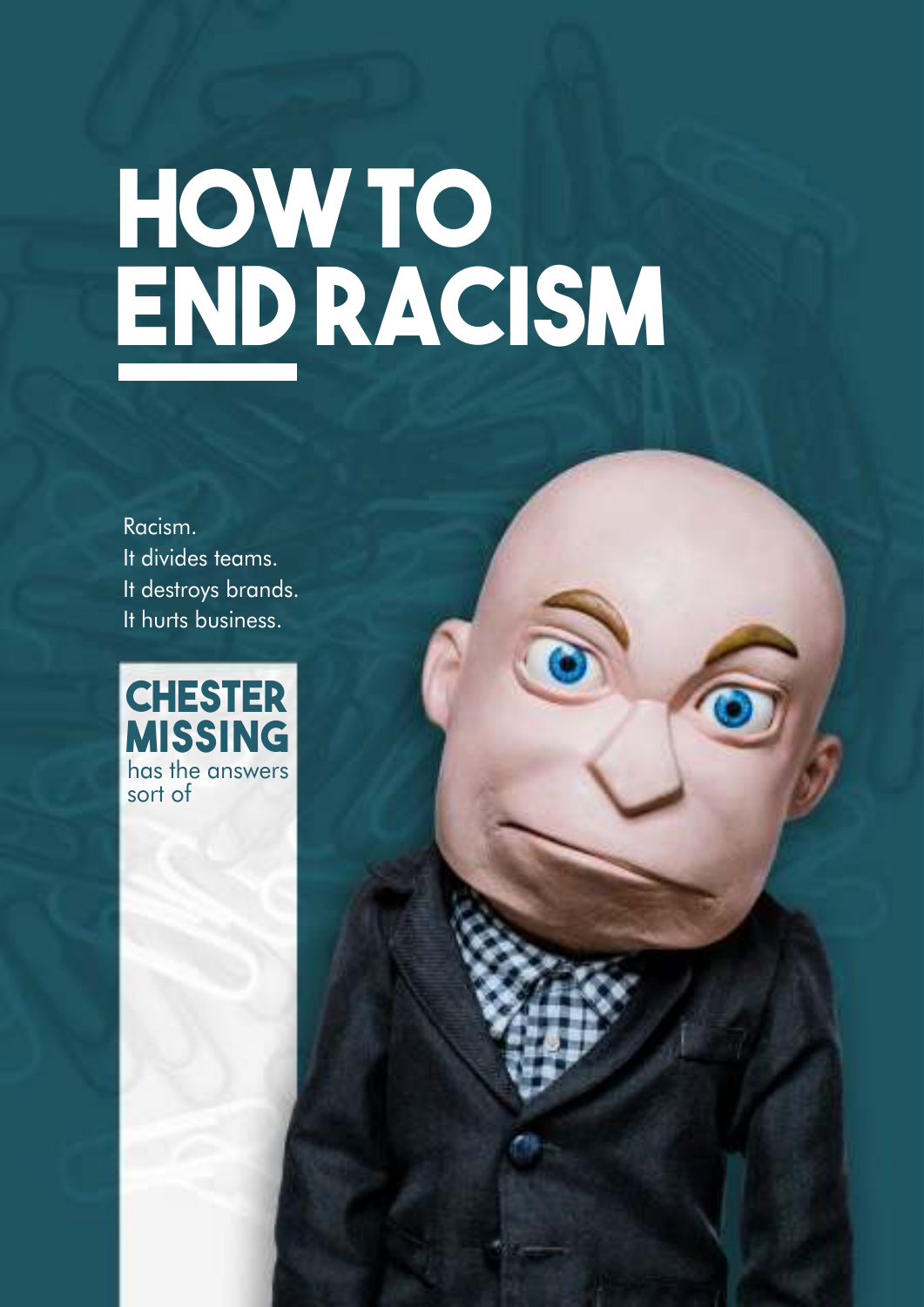## **HOW TO END RACISM**

Racism. It divides teams. It destroys brands. It hurts business.